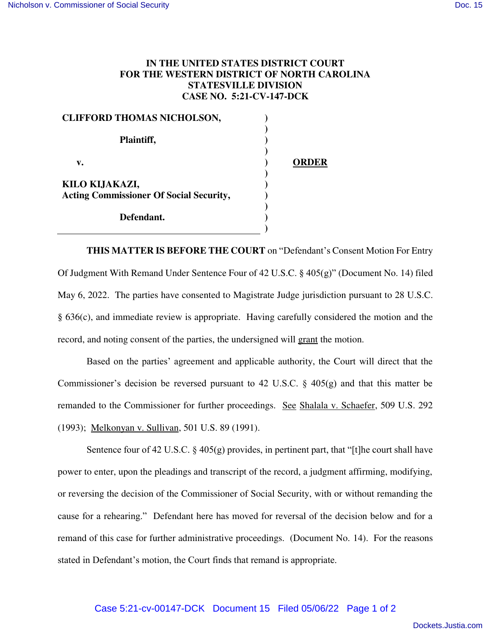## **IN THE UNITED STATES DISTRICT COURT FOR THE WESTERN DISTRICT OF NORTH CAROLINA STATESVILLE DIVISION CASE NO. 5:21-CV-147-DCK**

| <b>CLIFFORD THOMAS NICHOLSON,</b>              |       |
|------------------------------------------------|-------|
| Plaintiff,                                     |       |
| v.                                             | ORDER |
| KILO KIJAKAZI,                                 |       |
| <b>Acting Commissioner Of Social Security,</b> |       |
| Defendant.                                     |       |

**THIS MATTER IS BEFORE THE COURT** on "Defendant's Consent Motion For Entry Of Judgment With Remand Under Sentence Four of 42 U.S.C. § 405(g)" (Document No. 14) filed May 6, 2022. The parties have consented to Magistrate Judge jurisdiction pursuant to 28 U.S.C. § 636(c), and immediate review is appropriate. Having carefully considered the motion and the record, and noting consent of the parties, the undersigned will grant the motion.

Based on the parties' agreement and applicable authority, the Court will direct that the Commissioner's decision be reversed pursuant to 42 U.S.C. § 405(g) and that this matter be remanded to the Commissioner for further proceedings. See Shalala v. Schaefer, 509 U.S. 292 (1993); Melkonyan v. Sullivan, 501 U.S. 89 (1991).

Sentence four of 42 U.S.C.  $\S$  405(g) provides, in pertinent part, that "[t]he court shall have power to enter, upon the pleadings and transcript of the record, a judgment affirming, modifying, or reversing the decision of the Commissioner of Social Security, with or without remanding the cause for a rehearing." Defendant here has moved for reversal of the decision below and for a remand of this case for further administrative proceedings. (Document No. 14). For the reasons stated in Defendant's motion, the Court finds that remand is appropriate.